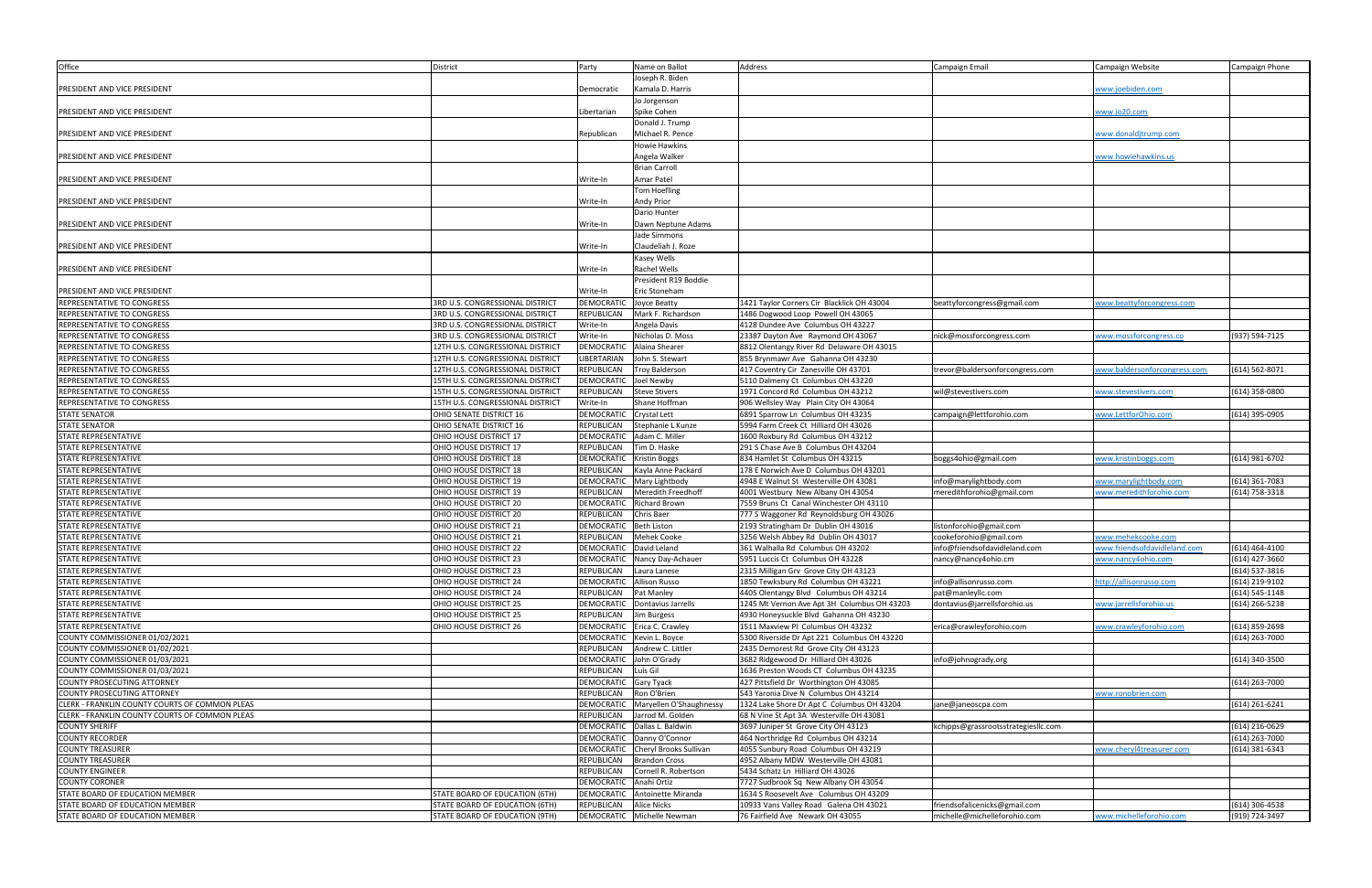| Office                                         | District                         | Party             | Name on Ballot             | Address                                     | Campaign Email                      | Campaign Website             | Campaign Phone     |
|------------------------------------------------|----------------------------------|-------------------|----------------------------|---------------------------------------------|-------------------------------------|------------------------------|--------------------|
|                                                |                                  |                   | Joseph R. Biden            |                                             |                                     |                              |                    |
| RESIDENT AND VICE PRESIDENT                    |                                  |                   | Kamala D. Harris           |                                             |                                     | www.joebiden.com             |                    |
|                                                |                                  | Democratic        |                            |                                             |                                     |                              |                    |
|                                                |                                  |                   | Jo Jorgenson               |                                             |                                     |                              |                    |
| PRESIDENT AND VICE PRESIDENT                   |                                  | Libertarian       | Spike Cohen                |                                             |                                     | www.jo20.com                 |                    |
|                                                |                                  |                   | Donald J. Trump            |                                             |                                     |                              |                    |
| PRESIDENT AND VICE PRESIDENT                   |                                  | Republican        | Michael R. Pence           |                                             |                                     | www.donalditrump.com         |                    |
|                                                |                                  |                   | lowie Hawkins              |                                             |                                     |                              |                    |
| PRESIDENT AND VICE PRESIDENT                   |                                  |                   | Angela Walker              |                                             |                                     | www.howiehawkins.us          |                    |
|                                                |                                  |                   | <b>Brian Carroll</b>       |                                             |                                     |                              |                    |
| PRESIDENT AND VICE PRESIDENT                   |                                  | Write-In          | <b>Amar Patel</b>          |                                             |                                     |                              |                    |
|                                                |                                  |                   |                            |                                             |                                     |                              |                    |
|                                                |                                  |                   | <b>Tom Hoefling</b>        |                                             |                                     |                              |                    |
| PRESIDENT AND VICE PRESIDENT                   |                                  | Write-In          | Andy Prior                 |                                             |                                     |                              |                    |
|                                                |                                  |                   | Dario Hunter               |                                             |                                     |                              |                    |
| PRESIDENT AND VICE PRESIDENT                   |                                  | Write-In          | Dawn Neptune Adams         |                                             |                                     |                              |                    |
|                                                |                                  |                   | Jade Simmons               |                                             |                                     |                              |                    |
| PRESIDENT AND VICE PRESIDENT                   |                                  | Write-In          | Claudeliah J. Roze         |                                             |                                     |                              |                    |
|                                                |                                  |                   | Kasey Wells                |                                             |                                     |                              |                    |
|                                                |                                  | Write-In          | <b>Rachel Wells</b>        |                                             |                                     |                              |                    |
| PRESIDENT AND VICE PRESIDENT                   |                                  |                   |                            |                                             |                                     |                              |                    |
|                                                |                                  |                   | President R19 Boddie       |                                             |                                     |                              |                    |
| RESIDENT AND VICE PRESIDENT                    |                                  | Write-In          | Eric Stoneham              |                                             |                                     |                              |                    |
| REPRESENTATIVE TO CONGRESS                     | 3RD U.S. CONGRESSIONAL DISTRICT  | DEMOCRATIC        | Joyce Beatty               | 1421 Taylor Corners Cir Blacklick OH 43004  | beattyforcongress@gmail.com         | www.beattyforcongress.com    |                    |
| REPRESENTATIVE TO CONGRESS                     | 3RD U.S. CONGRESSIONAL DISTRICT  | <b>REPUBLICAN</b> | Mark F. Richardson         | 1486 Dogwood Loop Powell OH 43065           |                                     |                              |                    |
| REPRESENTATIVE TO CONGRESS                     | 3RD U.S. CONGRESSIONAL DISTRICT  | Write-In          | Angela Davis               | 4128 Dundee Ave Columbus OH 43227           |                                     |                              |                    |
| REPRESENTATIVE TO CONGRESS                     | 3RD U.S. CONGRESSIONAL DISTRICT  | Write-In          | Nicholas D. Moss           | 23387 Dayton Ave Raymond OH 43067           | nick@mossforcongress.com            | www.mossforcongress.co       | (937) 594-7125     |
| REPRESENTATIVE TO CONGRESS                     | 12TH U.S. CONGRESSIONAL DISTRICT | <b>DEMOCRATIC</b> | Alaina Shearer             | 8812 Olentangy River Rd Delaware OH 43015   |                                     |                              |                    |
|                                                |                                  | <b>IBERTARIAN</b> |                            |                                             |                                     |                              |                    |
| REPRESENTATIVE TO CONGRESS                     | 12TH U.S. CONGRESSIONAL DISTRICT |                   | John S. Stewart            | 855 Brynmawr Ave Gahanna OH 43230           |                                     |                              |                    |
| REPRESENTATIVE TO CONGRESS                     | 12TH U.S. CONGRESSIONAL DISTRICT | <b>REPUBLICAN</b> | Troy Balderson             | 417 Coventry Cir Zanesville OH 43701        | trevor@baldersonforcongress.com     | www.baldersonforcongress.com | (614) 562-8071     |
| REPRESENTATIVE TO CONGRESS                     | 15TH U.S. CONGRESSIONAL DISTRICT | <b>DEMOCRATIC</b> | <b>Joel Newby</b>          | 5110 Dalmeny Ct Columbus OH 43220           |                                     |                              |                    |
| REPRESENTATIVE TO CONGRESS                     | 15TH U.S. CONGRESSIONAL DISTRICT | <b>REPUBLICAN</b> | <b>Steve Stivers</b>       | 1971 Concord Rd Columbus OH 43212           | wil@stevestivers.com                | www.stevestivers.com         | $(614)$ 358-0800   |
| REPRESENTATIVE TO CONGRESS                     | 15TH U.S. CONGRESSIONAL DISTRICT | Write-In          | Shane Hoffman              | 906 Wellsley Way Plain City OH 43064        |                                     |                              |                    |
| <b>STATE SENATOR</b>                           | OHIO SENATE DISTRICT 16          | <b>DEMOCRATIC</b> | Crystal Lett               | 6891 Sparrow Ln Columbus OH 43235           | campaign@lettforohio.com            | vww.LettforOhio.com          | (614) 395-0905     |
| <b>STATE SENATOR</b>                           | OHIO SENATE DISTRICT 16          | REPUBLICAN        | Stephanie L Kunze          | 5994 Farm Creek Ct Hilliard OH 43026        |                                     |                              |                    |
| STATE REPRESENTATIVE                           | OHIO HOUSE DISTRICT 17           | DEMOCRATIC        | Adam C. Miller             | 1600 Roxbury Rd Columbus OH 43212           |                                     |                              |                    |
| STATE REPRESENTATIVE                           | OHIO HOUSE DISTRICT 17           | REPUBLICAN        | Tim D. Haske               | 291 S Chase Ave B Columbus OH 43204         |                                     |                              |                    |
|                                                |                                  |                   |                            |                                             |                                     |                              |                    |
| <b>STATE REPRESENTATIVE</b>                    | OHIO HOUSE DISTRICT 18           | DEMOCRATIC        | <b>Kristin Boggs</b>       | 834 Hamlet St Columbus OH 43215             | boggs4ohio@gmail.com                | www.kristinboggs.com         | (614) 981-6702     |
| STATE REPRESENTATIVE                           | OHIO HOUSE DISTRICT 18           | REPUBLICAN        | Kayla Anne Packard         | 178 E Norwich Ave D Columbus OH 43201       |                                     |                              |                    |
| STATE REPRESENTATIVE                           | OHIO HOUSE DISTRICT 19           | DEMOCRATIC        | Mary Lightbody             | 4948 E Walnut St Westerville OH 43081       | info@marylightbody.com              | www.marylightbody.com        | $(614)$ 361-7083   |
| STATE REPRESENTATIVE                           | OHIO HOUSE DISTRICT 19           | <b>REPUBLICAN</b> | Meredith Freedhoff         | 4001 Westbury New Albany OH 43054           | meredithforohio@gmail.com           | www.meredithforohio.com      | $(614) 758 - 3318$ |
| STATE REPRESENTATIVE                           | OHIO HOUSE DISTRICT 20           | DEMOCRATIC        | <b>Richard Brown</b>       | 7559 Bruns Ct Canal Winchester OH 43110     |                                     |                              |                    |
| STATE REPRESENTATIVE                           | OHIO HOUSE DISTRICT 20           | REPUBLICAN        | <b>Chris Baer</b>          | 777 S Waggoner Rd Reynoldsburg OH 43026     |                                     |                              |                    |
| STATE REPRESENTATIVE                           | OHIO HOUSE DISTRICT 21           | DEMOCRATIC        | <b>Beth Liston</b>         | 2193 Stratingham Dr Dublin OH 43016         | listonforohio@gmail.com             |                              |                    |
|                                                |                                  |                   | Mehek Cooke                |                                             |                                     |                              |                    |
| STATE REPRESENTATIVE                           | OHIO HOUSE DISTRICT 21           | <b>REPUBLICAN</b> |                            | 3256 Welsh Abbey Rd Dublin OH 43017         | cookeforohio@gmail.com              | www.mehekcooke.com           |                    |
| STATE REPRESENTATIVE                           | OHIO HOUSE DISTRICT 22           | <b>DEMOCRATIC</b> | David Leland               | 361 Walhalla Rd Columbus OH 43202           | info@friendsofdavidleland.com       | www.friendsofdavidleland.com | $(614)$ 464-4100   |
| <b>STATE REPRESENTATIVE</b>                    | OHIO HOUSE DISTRICT 23           | DEMOCRATIC        | Nancy Day-Achauer          | 5951 Luccis Ct Columbus OH 43228            | nancy@nancy4ohio.cm                 | www.nancy4ohio.com           | (614) 427-3660     |
| STATE REPRESENTATIVE                           | OHIO HOUSE DISTRICT 23           | REPUBLICAN        | Laura Lanese               | 2315 Milligan Grv Grove City OH 43123       |                                     |                              | (614) 537-3816     |
| <b>STATE REPRESENTATIVE</b>                    | OHIO HOUSE DISTRICT 24           | <b>DEMOCRATIC</b> | <b>Allison Russo</b>       | 1850 Tewksbury Rd Columbus OH 43221         | info@allisonrusso.com               | http://allisonrusso.com      | (614) 219-9102     |
| STATE REPRESENTATIVE                           | OHIO HOUSE DISTRICT 24           | REPUBLICAN        | Pat Manley                 | 4405 Olentangy Blvd Columbus OH 43214       | pat@manleyllc.com                   |                              | (614) 545-1148     |
| STATE REPRESENTATIVE                           | OHIO HOUSE DISTRICT 25           | DEMOCRATIC        | Dontavius Jarrells         | 1245 Mt Vernon Ave Apt 3H Columbus OH 43203 | dontavius@jarrellsforohio.us        | vww.jarrellsforohio.us       | (614) 266-5238     |
| <b>STATE REPRESENTATIVE</b>                    | OHIO HOUSE DISTRICT 25           | REPUBLICAN        | Jim Burgess                | 4930 Honeysuckle Blvd Gahanna OH 43230      |                                     |                              |                    |
| STATE REPRESENTATIVE                           | OHIO HOUSE DISTRICT 26           | DEMOCRATIC        | Erica C. Crawley           | 1511 Maxview Pl Columbus OH 43232           | erica@crawleyforohio.com            | vww.crawleyforohio.com       | (614) 859-2698     |
|                                                |                                  |                   |                            |                                             |                                     |                              |                    |
| COUNTY COMMISSIONER 01/02/2021                 |                                  | DEMOCRATIC        | Kevin L. Boyce             | 5300 Riverside Dr Apt 221 Columbus OH 43220 |                                     |                              | $(614)$ 263-7000   |
| COUNTY COMMISSIONER 01/02/2021                 |                                  | <b>REPUBLICAN</b> | Andrew C. Littler          | 2435 Demorest Rd Grove City OH 43123        |                                     |                              |                    |
| COUNTY COMMISSIONER 01/03/2021                 |                                  | <b>DEMOCRATIC</b> | John O'Grady               | 3682 Ridgewood Dr Hilliard OH 43026         | info@johnogrady.org                 |                              | (614) 340-3500     |
| COUNTY COMMISSIONER 01/03/2021                 |                                  | REPUBLICAN        | Luis Gil                   | 1636 Preston Woods CT Columbus OH 43235     |                                     |                              |                    |
| COUNTY PROSECUTING ATTORNEY                    |                                  | DEMOCRATIC        | Gary Tyack                 | 427 Pittsfield Dr Worthington OH 43085      |                                     |                              | (614) 263-7000     |
| COUNTY PROSECUTING ATTORNEY                    |                                  | REPUBLICAN        | Ron O'Brien                | 543 Yaronia Dive N Columbus OH 43214        |                                     | ww.ronobrien.com             |                    |
| LERK - FRANKLIN COUNTY COURTS OF COMMON PLEAS  |                                  | DEMOCRATIC        | Maryellen O'Shaughnessy    | 1324 Lake Shore Dr Apt C Columbus OH 43204  | ane@janeoscpa.com                   |                              | $(614)$ 261-6241   |
| CLERK - FRANKLIN COUNTY COURTS OF COMMON PLEAS |                                  | REPUBLICAN        | Jarrod M. Golden           | 68 N Vine St Apt 3A Westerville OH 43081    |                                     |                              |                    |
|                                                |                                  |                   |                            |                                             |                                     |                              |                    |
| <b>COUNTY SHERIFF</b>                          |                                  | <b>DEMOCRATIC</b> | Dallas L. Baldwin          | 3697 Juniper St Grove City OH 43123         | kchipps@grassrootsstrategiesllc.com |                              | (614) 216-0629     |
| COUNTY RECORDER                                |                                  | DEMOCRATIC        | Danny O'Connor             | 464 Northridge Rd Columbus OH 43214         |                                     |                              | (614) 263-7000     |
| <b>COUNTY TREASURER</b>                        |                                  | DEMOCRATIC        | Cheryl Brooks Sullivan     | 4055 Sunbury Road Columbus OH 43219         |                                     | www.cheryl4treasurer.com     | (614) 381-6343     |
| <b>COUNTY TREASURER</b>                        |                                  | REPUBLICAN        | <b>Brandon Cross</b>       | 4952 Albany MDW Westerville OH 43081        |                                     |                              |                    |
| COUNTY ENGINEER                                |                                  | REPUBLICAN        | Cornell R. Robertson       | 5434 Schatz Ln Hilliard OH 43026            |                                     |                              |                    |
| <b>COUNTY CORONER</b>                          |                                  | <b>DEMOCRATIC</b> | Anahi Ortiz                | 7727 Sudbrook Sq New Albany OH 43054        |                                     |                              |                    |
| STATE BOARD OF EDUCATION MEMBER                | STATE BOARD OF EDUCATION (6TH)   | DEMOCRATIC        | Antoinette Miranda         | 1634 S Roosevelt Ave Columbus OH 43209      |                                     |                              |                    |
| STATE BOARD OF EDUCATION MEMBER                |                                  | REPUBLICAN        | <b>Alice Nicks</b>         |                                             | friendsofalicenicks@gmail.com       |                              | (614) 306-4538     |
|                                                | STATE BOARD OF EDUCATION (6TH)   |                   |                            | 10933 Vans Valley Road Galena OH 43021      |                                     |                              |                    |
| STATE BOARD OF EDUCATION MEMBER                | STATE BOARD OF EDUCATION (9TH)   |                   | DEMOCRATIC Michelle Newman | 76 Fairfield Ave Newark OH 43055            | michelle@michelleforohio.com        | www.michelleforohio.com      | (919) 724-3497     |